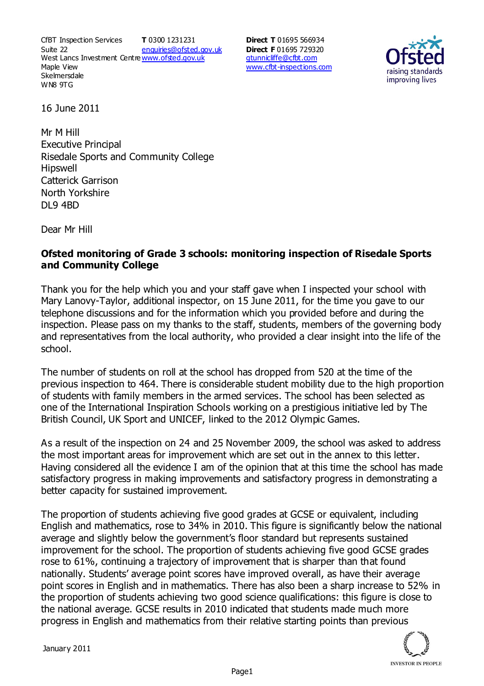CfBT Inspection Services Suite 22 West Lancs Investment Centre<u>www.ofsted.gov.uk</u> Maple View **Skelmersdale** WN8 9TG **T** 0300 1231231 enquiries@ofsted.gov.uk **Direct T** 01695 566934 **Direct F** 01695 729320 gtunnicliffe@cfbt.com www.cfbt-inspections.com



16 June 2011

Mr M Hill Executive Principal Risedale Sports and Community College Hipswell Catterick Garrison North Yorkshire DL9 4BD

Dear Mr Hill

## **Ofsted monitoring of Grade 3 schools: monitoring inspection of Risedale Sports and Community College**

Thank you for the help which you and your staff gave when I inspected your school with Mary Lanovy-Taylor, additional inspector, on 15 June 2011, for the time you gave to our telephone discussions and for the information which you provided before and during the inspection. Please pass on my thanks to the staff, students, members of the governing body and representatives from the local authority, who provided a clear insight into the life of the school.

The number of students on roll at the school has dropped from 520 at the time of the previous inspection to 464. There is considerable student mobility due to the high proportion of students with family members in the armed services. The school has been selected as one of the International Inspiration Schools working on a prestigious initiative led by The British Council, UK Sport and UNICEF, linked to the 2012 Olympic Games.

As a result of the inspection on 24 and 25 November 2009, the school was asked to address the most important areas for improvement which are set out in the annex to this letter. Having considered all the evidence I am of the opinion that at this time the school has made satisfactory progress in making improvements and satisfactory progress in demonstrating a better capacity for sustained improvement.

The proportion of students achieving five good grades at GCSE or equivalent, including English and mathematics, rose to 34% in 2010. This figure is significantly below the national average and slightly below the government's floor standard but represents sustained improvement for the school. The proportion of students achieving five good GCSE grades rose to 61%, continuing a trajectory of improvement that is sharper than that found nationally. Students' average point scores have improved overall, as have their average point scores in English and in mathematics. There has also been a sharp increase to 52% in the proportion of students achieving two good science qualifications: this figure is close to the national average. GCSE results in 2010 indicated that students made much more progress in English and mathematics from their relative starting points than previous

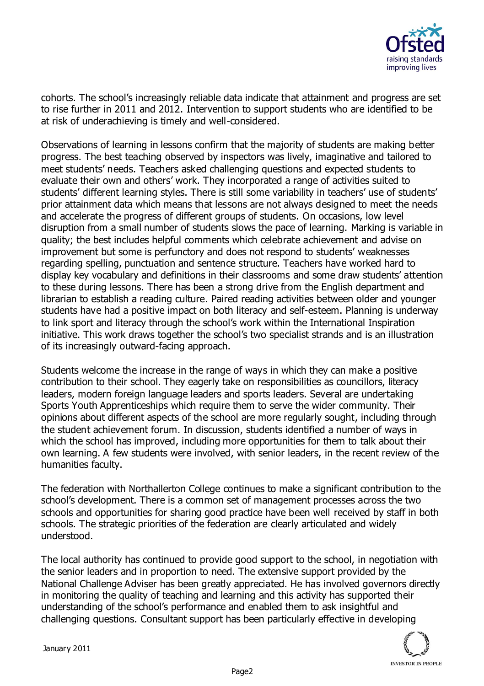

cohorts. The school's increasingly reliable data indicate that attainment and progress are set to rise further in 2011 and 2012. Intervention to support students who are identified to be at risk of underachieving is timely and well-considered.

Observations of learning in lessons confirm that the majority of students are making better progress. The best teaching observed by inspectors was lively, imaginative and tailored to meet students' needs. Teachers asked challenging questions and expected students to evaluate their own and others' work. They incorporated a range of activities suited to students' different learning styles. There is still some variability in teachers' use of students' prior attainment data which means that lessons are not always designed to meet the needs and accelerate the progress of different groups of students. On occasions, low level disruption from a small number of students slows the pace of learning. Marking is variable in quality; the best includes helpful comments which celebrate achievement and advise on improvement but some is perfunctory and does not respond to students' weaknesses regarding spelling, punctuation and sentence structure. Teachers have worked hard to display key vocabulary and definitions in their classrooms and some draw students' attention to these during lessons. There has been a strong drive from the English department and librarian to establish a reading culture. Paired reading activities between older and younger students have had a positive impact on both literacy and self-esteem. Planning is underway to link sport and literacy through the school's work within the International Inspiration initiative. This work draws together the school's two specialist strands and is an illustration of its increasingly outward-facing approach.

Students welcome the increase in the range of ways in which they can make a positive contribution to their school. They eagerly take on responsibilities as councillors, literacy leaders, modern foreign language leaders and sports leaders. Several are undertaking Sports Youth Apprenticeships which require them to serve the wider community. Their opinions about different aspects of the school are more regularly sought, including through the student achievement forum. In discussion, students identified a number of ways in which the school has improved, including more opportunities for them to talk about their own learning. A few students were involved, with senior leaders, in the recent review of the humanities faculty.

The federation with Northallerton College continues to make a significant contribution to the school's development. There is a common set of management processes across the two schools and opportunities for sharing good practice have been well received by staff in both schools. The strategic priorities of the federation are clearly articulated and widely understood.

The local authority has continued to provide good support to the school, in negotiation with the senior leaders and in proportion to need. The extensive support provided by the National Challenge Adviser has been greatly appreciated. He has involved governors directly in monitoring the quality of teaching and learning and this activity has supported their understanding of the school's performance and enabled them to ask insightful and challenging questions. Consultant support has been particularly effective in developing

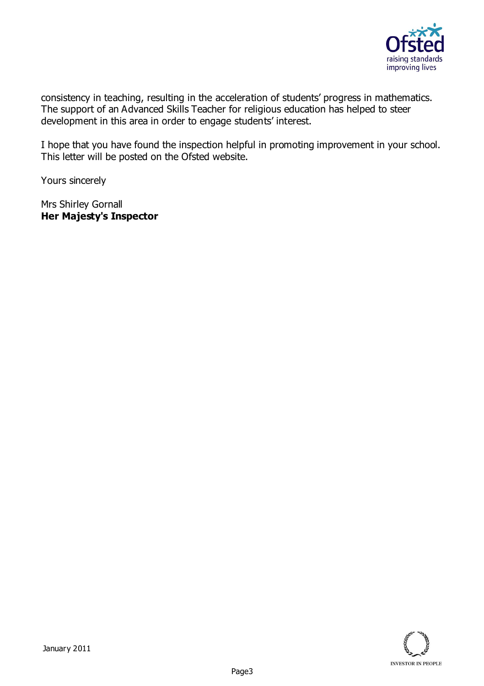

consistency in teaching, resulting in the acceleration of students' progress in mathematics. The support of an Advanced Skills Teacher for religious education has helped to steer development in this area in order to engage students' interest.

I hope that you have found the inspection helpful in promoting improvement in your school. This letter will be posted on the Ofsted website.

Yours sincerely

Mrs Shirley Gornall **Her Majesty's Inspector**